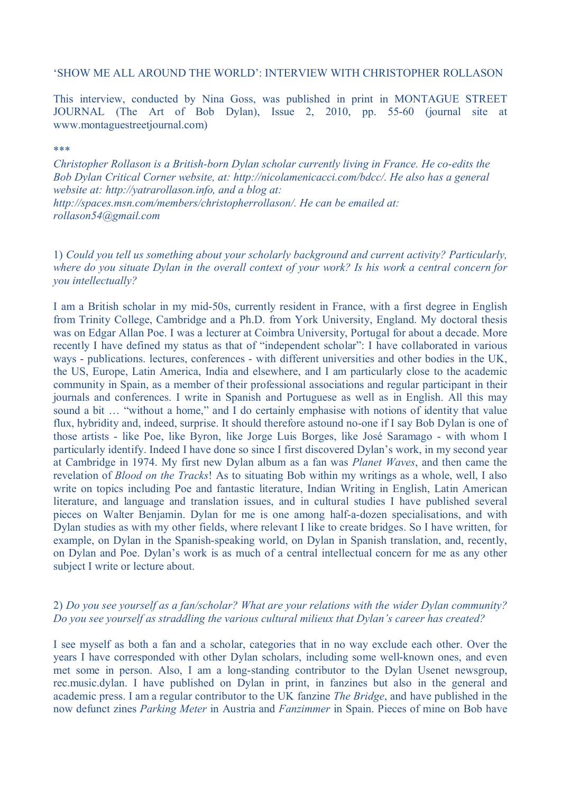#### 'SHOW ME ALL AROUND THE WORLD': INTERVIEW WITH CHRISTOPHER ROLLASON

This interview, conducted by Nina Goss, was published in print in MONTAGUE STREET JOURNAL (The Art of Bob Dylan), Issue 2, 2010, pp. 55-60 (journal site at www.montaguestreetjournal.com)

\*\*\*

*Christopher Rollason is a British-born Dylan scholar currently living in France. He co-edits the Bob Dylan Critical Corner website, at: [http://nicolamenicacci.com/bdcc/.](http://nicolamenicacci.com/bdcc/) He also has a general website at: [http://yatrarollason.info,](http://yatrarollason.info) and a blog at:* 

*http://spaces.msn.com/members/christopherrollason/. He can be emailed at: [rollason54@gmail.com](mailto:rollason54@gmail.com)*

1) *Could you tell us something about your scholarly background and current activity? Particularly, where do you situate Dylan in the overall context of your work? Is his work a central concern for you intellectually?*

I am a British scholar in my mid-50s, currently resident in France, with a first degree in English from Trinity College, Cambridge and a Ph.D. from York University, England. My doctoral thesis was on Edgar Allan Poe. I was a lecturer at Coimbra University, Portugal for about a decade. More recently I have defined my status as that of "independent scholar": I have collaborated in various ways - publications. lectures, conferences - with different universities and other bodies in the UK, the US, Europe, Latin America, India and elsewhere, and I am particularly close to the academic community in Spain, as a member of their professional associations and regular participant in their journals and conferences. I write in Spanish and Portuguese as well as in English. All this may sound a bit ... "without a home," and I do certainly emphasise with notions of identity that value flux, hybridity and, indeed, surprise. It should therefore astound no-one if I say Bob Dylan is one of those artists - like Poe, like Byron, like Jorge Luis Borges, like José Saramago - with whom I particularly identify. Indeed I have done so since I first discovered Dylan's work, in my second year at Cambridge in 1974. My first new Dylan album as a fan was *Planet Waves*, and then came the revelation of *Blood on the Tracks*! As to situating Bob within my writings as a whole, well, I also write on topics including Poe and fantastic literature, Indian Writing in English, Latin American literature, and language and translation issues, and in cultural studies I have published several pieces on Walter Benjamin. Dylan for me is one among half-a-dozen specialisations, and with Dylan studies as with my other fields, where relevant I like to create bridges. So I have written, for example, on Dylan in the Spanish-speaking world, on Dylan in Spanish translation, and, recently, on Dylan and Poe. Dylan's work is as much of a central intellectual concern for me as any other subject I write or lecture about.

# 2) *Do you see yourself as a fan/scholar? What are your relations with the wider Dylan community? Do you see yourself as straddling the various cultural milieux that Dylan's career has created?*

I see myself as both a fan and a scholar, categories that in no way exclude each other. Over the years I have corresponded with other Dylan scholars, including some well-known ones, and even met some in person. Also, I am a long-standing contributor to the Dylan Usenet newsgroup, rec.music.dylan. I have published on Dylan in print, in fanzines but also in the general and academic press. I am a regular contributor to the UK fanzine *The Bridge*, and have published in the now defunct zines *Parking Meter* in Austria and *Fanzimmer* in Spain. Pieces of mine on Bob have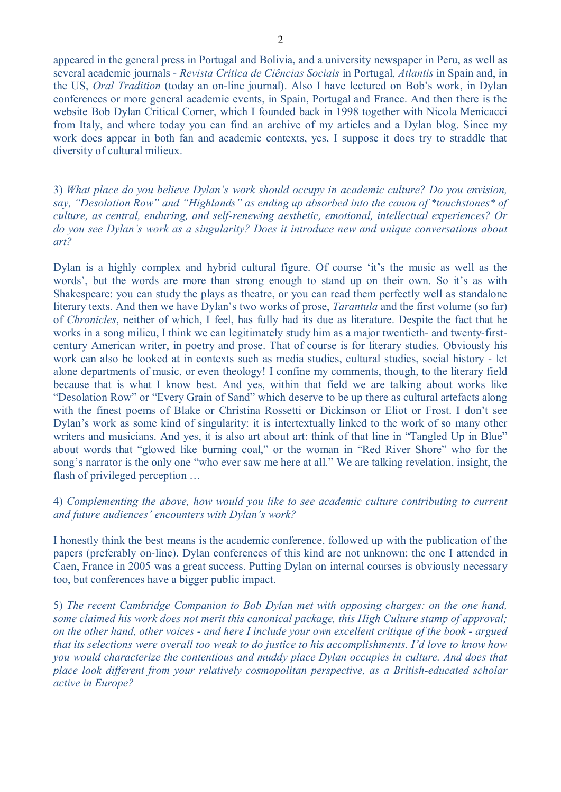appeared in the general press in Portugal and Bolivia, and a university newspaper in Peru, as well as several academic journals - *Revista Crítica de Ciências Sociais* in Portugal, *Atlantis* in Spain and, in the US, *Oral Tradition* (today an on-line journal). Also I have lectured on Bob's work, in Dylan conferences or more general academic events, in Spain, Portugal and France. And then there is the website Bob Dylan Critical Corner, which I founded back in 1998 together with Nicola Menicacci from Italy, and where today you can find an archive of my articles and a Dylan blog. Since my work does appear in both fan and academic contexts, yes, I suppose it does try to straddle that diversity of cultural milieux.

3) *What place do you believe Dylan's work should occupy in academic culture? Do you envision, say, "Desolation Row" and "Highlands" as ending up absorbed into the canon of \*touchstones\* of culture, as central, enduring, and self-renewing aesthetic, emotional, intellectual experiences? Or do you see Dylan's work as a singularity? Does it introduce new and unique conversations about art?*

Dylan is a highly complex and hybrid cultural figure. Of course 'it's the music as well as the words', but the words are more than strong enough to stand up on their own. So it's as with Shakespeare: you can study the plays as theatre, or you can read them perfectly well as standalone literary texts. And then we have Dylan's two works of prose, *Tarantula* and the first volume (so far) of *Chronicles*, neither of which, I feel, has fully had its due as literature. Despite the fact that he works in a song milieu, I think we can legitimately study him as a major twentieth- and twenty-firstcentury American writer, in poetry and prose. That of course is for literary studies. Obviously his work can also be looked at in contexts such as media studies, cultural studies, social history - let alone departments of music, or even theology! I confine my comments, though, to the literary field because that is what I know best. And yes, within that field we are talking about works like "Desolation Row" or "Every Grain of Sand" which deserve to be up there as cultural artefacts along with the finest poems of Blake or Christina Rossetti or Dickinson or Eliot or Frost. I don't see Dylan's work as some kind of singularity: it is intertextually linked to the work of so many other writers and musicians. And yes, it is also art about art: think of that line in "Tangled Up in Blue" about words that "glowed like burning coal," or the woman in "Red River Shore" who for the song's narrator is the only one "who ever saw me here at all." We are talking revelation, insight, the flash of privileged perception …

# 4) *Complementing the above, how would you like to see academic culture contributing to current and future audiences' encounters with Dylan's work?*

I honestly think the best means is the academic conference, followed up with the publication of the papers (preferably on-line). Dylan conferences of this kind are not unknown: the one I attended in Caen, France in 2005 was a great success. Putting Dylan on internal courses is obviously necessary too, but conferences have a bigger public impact.

5) *The recent Cambridge Companion to Bob Dylan met with opposing charges: on the one hand, some claimed his work does not merit this canonical package, this High Culture stamp of approval; on the other hand, other voices - and here I include your own excellent critique of the book - argued that its selections were overall too weak to do justice to his accomplishments. I'd love to know how you would characterize the contentious and muddy place Dylan occupies in culture. And does that place look different from your relatively cosmopolitan perspective, as a British-educated scholar active in Europe?*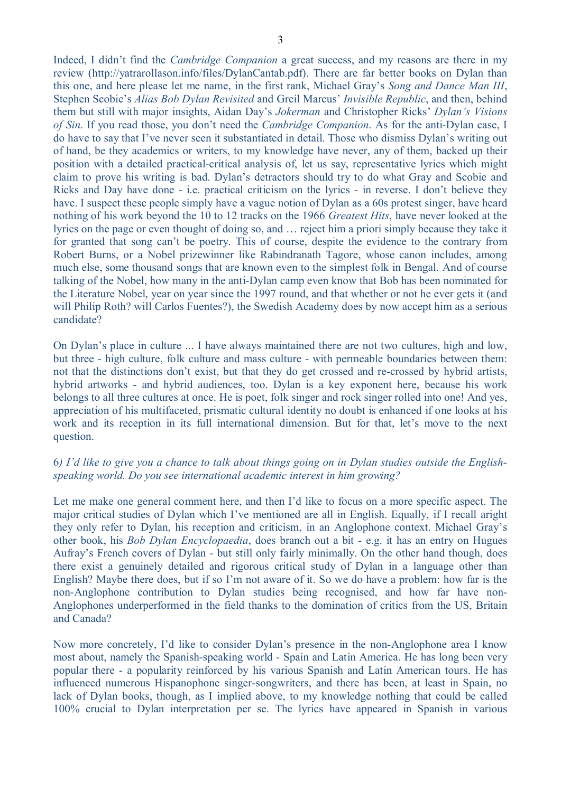Indeed, I didn't find the *Cambridge Companion* a great success, and my reasons are there in my review [\(http://yatrarollason.info/files/DylanCantab.pdf\)](http://yatrarollason.info/files/DylanCantab.pdf). There are far better books on Dylan than this one, and here please let me name, in the first rank, Michael Gray's *Song and Dance Man III*, Stephen Scobie's *Alias Bob Dylan Revisited* and Greil Marcus' *Invisible Republic*, and then, behind them but still with major insights, Aidan Day's *Jokerman* and Christopher Ricks' *Dylan's Visions of Sin*. If you read those, you don't need the *Cambridge Companion*. As for the anti-Dylan case, I do have to say that I've never seen it substantiated in detail. Those who dismiss Dylan's writing out of hand, be they academics or writers, to my knowledge have never, any of them, backed up their position with a detailed practical-critical analysis of, let us say, representative lyrics which might claim to prove his writing is bad. Dylan's detractors should try to do what Gray and Scobie and Ricks and Day have done - i.e. practical criticism on the lyrics - in reverse. I don't believe they have. I suspect these people simply have a vague notion of Dylan as a 60s protest singer, have heard nothing of his work beyond the 10 to 12 tracks on the 1966 *Greatest Hits*, have never looked at the lyrics on the page or even thought of doing so, and … reject him a priori simply because they take it for granted that song can't be poetry. This of course, despite the evidence to the contrary from Robert Burns, or a Nobel prizewinner like Rabindranath Tagore, whose canon includes, among much else, some thousand songs that are known even to the simplest folk in Bengal. And of course talking of the Nobel, how many in the anti-Dylan camp even know that Bob has been nominated for the Literature Nobel, year on year since the 1997 round, and that whether or not he ever gets it (and will Philip Roth? will Carlos Fuentes?), the Swedish Academy does by now accept him as a serious candidate?

On Dylan's place in culture ... I have always maintained there are not two cultures, high and low, but three - high culture, folk culture and mass culture - with permeable boundaries between them: not that the distinctions don't exist, but that they do get crossed and re-crossed by hybrid artists, hybrid artworks - and hybrid audiences, too. Dylan is a key exponent here, because his work belongs to all three cultures at once. He is poet, folk singer and rock singer rolled into one! And yes, appreciation of his multifaceted, prismatic cultural identity no doubt is enhanced if one looks at his work and its reception in its full international dimension. But for that, let's move to the next question.

# 6*) I'd like to give you a chance to talk about things going on in Dylan studies outside the Englishspeaking world. Do you see international academic interest in him growing?*

Let me make one general comment here, and then I'd like to focus on a more specific aspect. The major critical studies of Dylan which I've mentioned are all in English. Equally, if I recall aright they only refer to Dylan, his reception and criticism, in an Anglophone context. Michael Gray's other book, his *Bob Dylan Encyclopaedia*, does branch out a bit - e.g. it has an entry on Hugues Aufray's French covers of Dylan - but still only fairly minimally. On the other hand though, does there exist a genuinely detailed and rigorous critical study of Dylan in a language other than English? Maybe there does, but if so I'm not aware of it. So we do have a problem: how far is the non-Anglophone contribution to Dylan studies being recognised, and how far have non-Anglophones underperformed in the field thanks to the domination of critics from the US, Britain and Canada?

Now more concretely, I'd like to consider Dylan's presence in the non-Anglophone area I know most about, namely the Spanish-speaking world - Spain and Latin America. He has long been very popular there - a popularity reinforced by his various Spanish and Latin American tours. He has influenced numerous Hispanophone singer-songwriters, and there has been, at least in Spain, no lack of Dylan books, though, as I implied above, to my knowledge nothing that could be called 100% crucial to Dylan interpretation per se. The lyrics have appeared in Spanish in various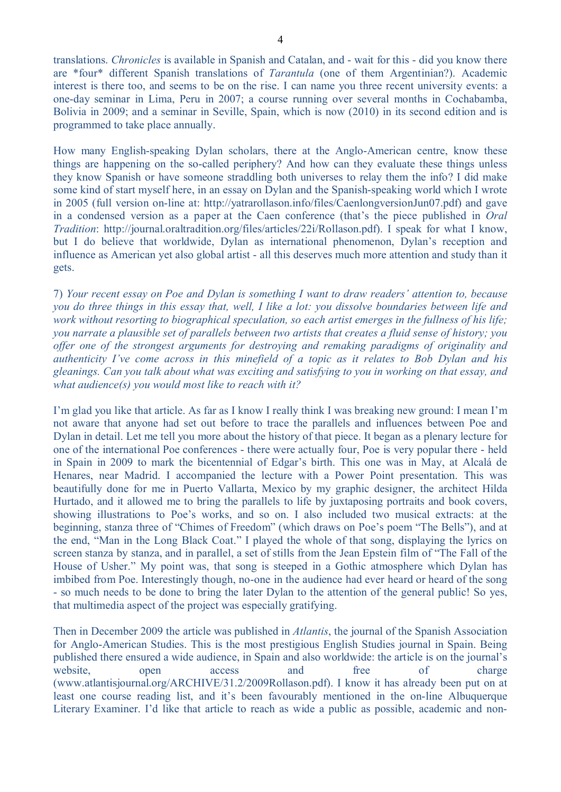translations. *Chronicles* is available in Spanish and Catalan, and - wait for this - did you know there are \*four\* different Spanish translations of *Tarantula* (one of them Argentinian?). Academic interest is there too, and seems to be on the rise. I can name you three recent university events: a one-day seminar in Lima, Peru in 2007; a course running over several months in Cochabamba, Bolivia in 2009; and a seminar in Seville, Spain, which is now (2010) in its second edition and is programmed to take place annually.

How many English-speaking Dylan scholars, there at the Anglo-American centre, know these things are happening on the so-called periphery? And how can they evaluate these things unless they know Spanish or have someone straddling both universes to relay them the info? I did make some kind of start myself here, in an essay on Dylan and the Spanish-speaking world which I wrote in 2005 (full version on-line at: http://yatrarollason.info/files/CaenlongversionJun07.pdf) and gave in a condensed version as a paper at the Caen conference (that's the piece published in *Oral Tradition*: [http://journal.oraltradition.org/files/articles/22i/Rollason.pdf\)](http://journal.oraltradition.org/files/articles/22i/Rollason.pdf). I speak for what I know, but I do believe that worldwide, Dylan as international phenomenon, Dylan's reception and influence as American yet also global artist - all this deserves much more attention and study than it gets.

7) *Your recent essay on Poe and Dylan is something I want to draw readers' attention to, because you do three things in this essay that, well, I like a lot: you dissolve boundaries between life and work without resorting to biographical speculation, so each artist emerges in the fullness of his life; you narrate a plausible set of parallels between two artists that creates a fluid sense of history; you offer one of the strongest arguments for destroying and remaking paradigms of originality and authenticity I've come across in this minefield of a topic as it relates to Bob Dylan and his gleanings. Can you talk about what was exciting and satisfying to you in working on that essay, and what audience(s) you would most like to reach with it?*

I'm glad you like that article. As far as I know I really think I was breaking new ground: I mean I'm not aware that anyone had set out before to trace the parallels and influences between Poe and Dylan in detail. Let me tell you more about the history of that piece. It began as a plenary lecture for one of the international Poe conferences - there were actually four, Poe is very popular there - held in Spain in 2009 to mark the bicentennial of Edgar's birth. This one was in May, at Alcalá de Henares, near Madrid. I accompanied the lecture with a Power Point presentation. This was beautifully done for me in Puerto Vallarta, Mexico by my graphic designer, the architect Hilda Hurtado, and it allowed me to bring the parallels to life by juxtaposing portraits and book covers, showing illustrations to Poe's works, and so on. I also included two musical extracts: at the beginning, stanza three of "Chimes of Freedom" (which draws on Poe's poem "The Bells"), and at the end, "Man in the Long Black Coat." I played the whole of that song, displaying the lyrics on screen stanza by stanza, and in parallel, a set of stills from the Jean Epstein film of "The Fall of the House of Usher." My point was, that song is steeped in a Gothic atmosphere which Dylan has imbibed from Poe. Interestingly though, no-one in the audience had ever heard or heard of the song - so much needs to be done to bring the later Dylan to the attention of the general public! So yes, that multimedia aspect of the project was especially gratifying.

Then in December 2009 the article was published in *Atlantis*, the journal of the Spanish Association for Anglo-American Studies. This is the most prestigious English Studies journal in Spain. Being published there ensured a wide audience, in Spain and also worldwide: the article is on the journal's website, open access and free of charge [\(www.atlantisjournal.org/ARCHIVE/31.2/2009Rollason.pdf\)](http://www.atlantisjournal.org/ARCHIVE/31.2/2009Rollason.pdf). I know it has already been put on at least one course reading list, and it's been favourably mentioned in the on-line Albuquerque Literary Examiner. I'd like that article to reach as wide a public as possible, academic and non